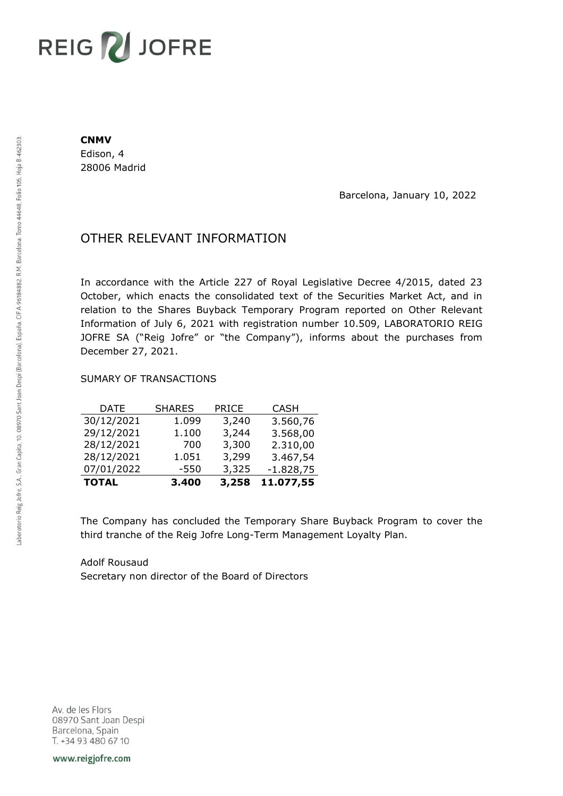# **REIG Z JOFRE**

#### **CNMV**

Edison, 4 28006 Madrid

Barcelona, January 10, 2022

## OTHER RELEVANT INFORMATION

In accordance with the Article 227 of Royal Legislative Decree 4/2015, dated 23 October, which enacts the consolidated text of the Securities Market Act, and in relation to the Shares Buyback Temporary Program reported on Other Relevant Information of July 6, 2021 with registration number 10.509, LABORATORIO REIG JOFRE SA ("Reig Jofre" or "the Company"), informs about the purchases from December 27, 2021.

#### SUMARY OF TRANSACTIONS

| DATE         | <b>SHARES</b> | <b>PRICE</b> | <b>CASH</b> |
|--------------|---------------|--------------|-------------|
| 30/12/2021   | 1.099         | 3,240        | 3.560,76    |
| 29/12/2021   | 1.100         | 3,244        | 3.568,00    |
| 28/12/2021   | 700           | 3,300        | 2.310,00    |
| 28/12/2021   | 1.051         | 3,299        | 3.467,54    |
| 07/01/2022   | -550          | 3,325        | $-1.828,75$ |
| <b>TOTAL</b> | 3.400         | 3,258        | 11.077,55   |

The Company has concluded the Temporary Share Buyback Program to cover the third tranche of the Reig Jofre Long-Term Management Loyalty Plan.

#### Adolf Rousaud Secretary non director of the Board of Directors

Av. de les Flors 08970 Sant Joan Despi Barcelona, Spain T. +34 93 480 67 10

www.reigjofre.com